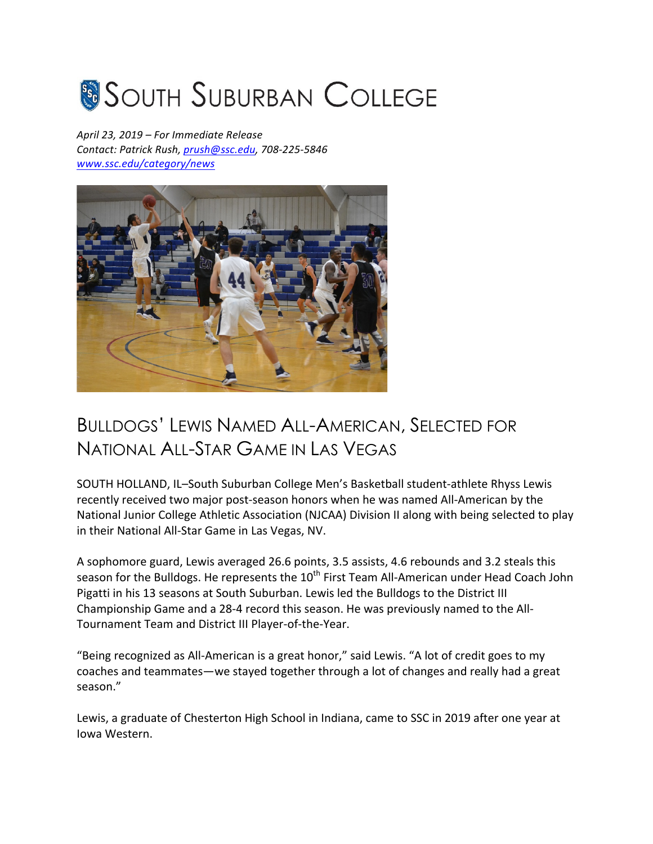## **SOUTH SUBURBAN COLLEGE**

*April 23, 2019 – For Immediate Release Contact: Patrick Rush, prush@ssc.edu, 708-225-5846 www.ssc.edu/category/news*



## BULLDOGS' LEWIS NAMED ALL-AMERICAN, SELECTED FOR NATIONAL ALL-STAR GAME IN LAS VEGAS

SOUTH HOLLAND, IL-South Suburban College Men's Basketball student-athlete Rhyss Lewis recently received two major post-season honors when he was named All-American by the National Junior College Athletic Association (NJCAA) Division II along with being selected to play in their National All-Star Game in Las Vegas, NV.

A sophomore guard, Lewis averaged 26.6 points, 3.5 assists, 4.6 rebounds and 3.2 steals this season for the Bulldogs. He represents the 10<sup>th</sup> First Team All-American under Head Coach John Pigatti in his 13 seasons at South Suburban. Lewis led the Bulldogs to the District III Championship Game and a 28-4 record this season. He was previously named to the All-Tournament Team and District III Player-of-the-Year.

"Being recognized as All-American is a great honor," said Lewis. "A lot of credit goes to my coaches and teammates—we stayed together through a lot of changes and really had a great season."

Lewis, a graduate of Chesterton High School in Indiana, came to SSC in 2019 after one year at Iowa Western.